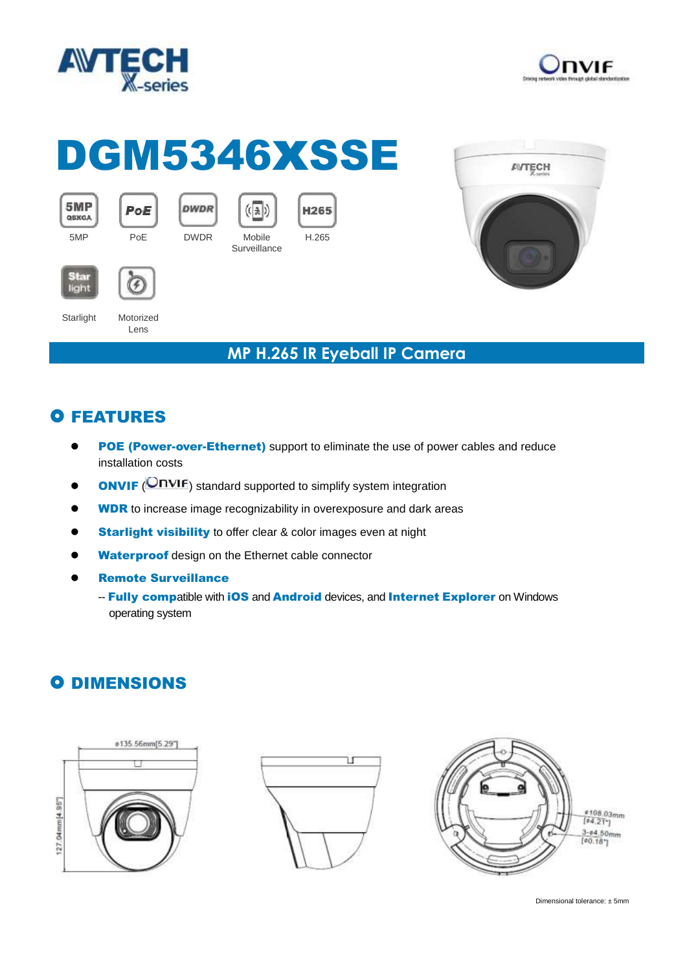



# DGM5346XSSE

**Surveillance** 

 $(\left(\sqrt{1.5}\right))$ 





5MP

QSXGA

Starlight Motorized

Lens

F

PoE

5MP PoE DWDR Mobile

**DWDR** 

#### **MP H.265 IR Eyeball IP Camera**

## **O FEATURES**

POE (Power-over-Ethernet) support to eliminate the use of power cables and reduce installation costs

H.265

H265

- **ONVIF** (**ONVIF**) standard supported to simplify system integration
- **WDR** to increase image recognizability in overexposure and dark areas
- **Starlight visibility** to offer clear & color images even at night
- Waterproof design on the Ethernet cable connector
- Remote Surveillance
	- -- Fully compatible with iOS and Android devices, and Internet Explorer on Windows operating system

### **O DIMENSIONS**







Dimensional tolerance: ± 5mm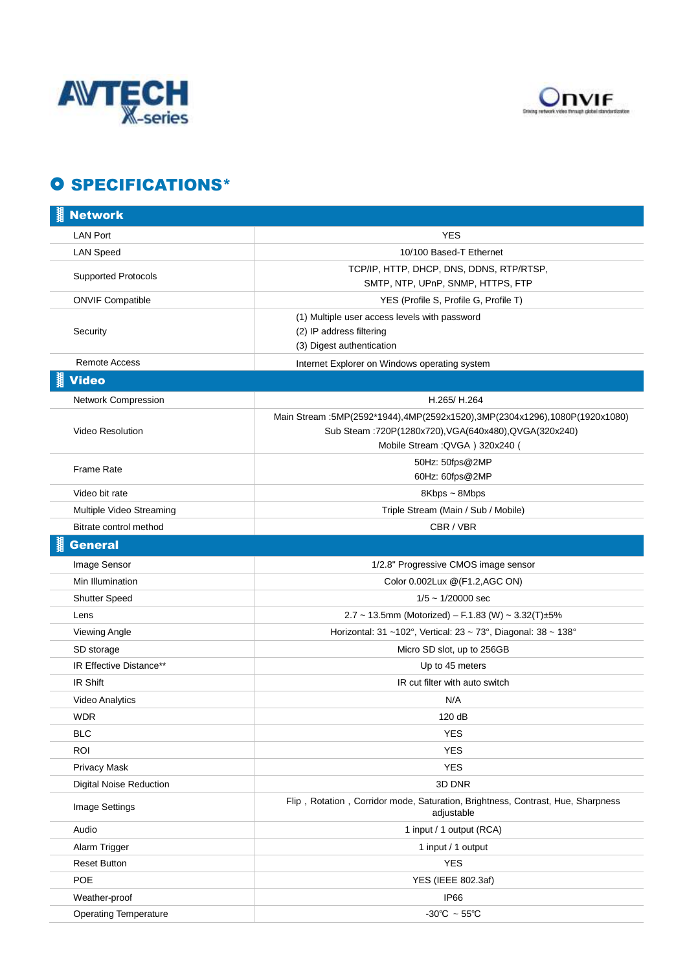



## **O SPECIFICATIONS\***

| <b>Network</b>                 |                                                                                                                                                                               |
|--------------------------------|-------------------------------------------------------------------------------------------------------------------------------------------------------------------------------|
| <b>LAN Port</b>                | <b>YES</b>                                                                                                                                                                    |
| <b>LAN Speed</b>               | 10/100 Based-T Ethernet                                                                                                                                                       |
| <b>Supported Protocols</b>     | TCP/IP, HTTP, DHCP, DNS, DDNS, RTP/RTSP,<br>SMTP, NTP, UPnP, SNMP, HTTPS, FTP                                                                                                 |
| <b>ONVIF Compatible</b>        | YES (Profile S, Profile G, Profile T)                                                                                                                                         |
| Security                       | (1) Multiple user access levels with password<br>(2) IP address filtering<br>(3) Digest authentication                                                                        |
| Remote Access                  | Internet Explorer on Windows operating system                                                                                                                                 |
| <b>Video</b>                   |                                                                                                                                                                               |
| Network Compression            | H.265/H.264                                                                                                                                                                   |
| <b>Video Resolution</b>        | Main Stream : 5MP(2592*1944), 4MP(2592x1520), 3MP(2304x1296), 1080P(1920x1080)<br>Sub Steam : 720P(1280x720), VGA(640x480), QVGA(320x240)<br>Mobile Stream : QVGA ) 320x240 ( |
| <b>Frame Rate</b>              | 50Hz: 50fps@2MP<br>60Hz: 60fps@2MP                                                                                                                                            |
| Video bit rate                 | 8Kbps ~ 8Mbps                                                                                                                                                                 |
| Multiple Video Streaming       | Triple Stream (Main / Sub / Mobile)                                                                                                                                           |
| Bitrate control method         | CBR/VBR                                                                                                                                                                       |
| <b>General</b>                 |                                                                                                                                                                               |
| Image Sensor                   | 1/2.8" Progressive CMOS image sensor                                                                                                                                          |
| Min Illumination               | Color 0.002Lux @(F1.2,AGC ON)                                                                                                                                                 |
| <b>Shutter Speed</b>           | $1/5 \sim 1/20000$ sec                                                                                                                                                        |
| Lens                           | 2.7 ~ 13.5mm (Motorized) - F.1.83 (W) ~ 3.32(T)±5%                                                                                                                            |
| Viewing Angle                  | Horizontal: 31 ~102°, Vertical: 23 ~ 73°, Diagonal: 38 ~ 138°                                                                                                                 |
| SD storage                     | Micro SD slot, up to 256GB                                                                                                                                                    |
| IR Effective Distance**        | Up to 45 meters                                                                                                                                                               |
| IR Shift                       | IR cut filter with auto switch                                                                                                                                                |
| Video Analytics                | N/A                                                                                                                                                                           |
| <b>WDR</b>                     | 120 dB                                                                                                                                                                        |
| <b>BLC</b>                     | <b>YES</b>                                                                                                                                                                    |
| <b>ROI</b>                     | <b>YES</b>                                                                                                                                                                    |
| <b>Privacy Mask</b>            | <b>YES</b>                                                                                                                                                                    |
| <b>Digital Noise Reduction</b> | 3D DNR                                                                                                                                                                        |
| Image Settings                 | Flip, Rotation, Corridor mode, Saturation, Brightness, Contrast, Hue, Sharpness<br>adjustable                                                                                 |
| Audio                          | 1 input / 1 output (RCA)                                                                                                                                                      |
| Alarm Trigger                  | 1 input / 1 output                                                                                                                                                            |
| <b>Reset Button</b>            | <b>YES</b>                                                                                                                                                                    |
| POE                            | YES (IEEE 802.3af)                                                                                                                                                            |
| Weather-proof                  | <b>IP66</b>                                                                                                                                                                   |
| <b>Operating Temperature</b>   | -30°C $\sim$ 55°C                                                                                                                                                             |